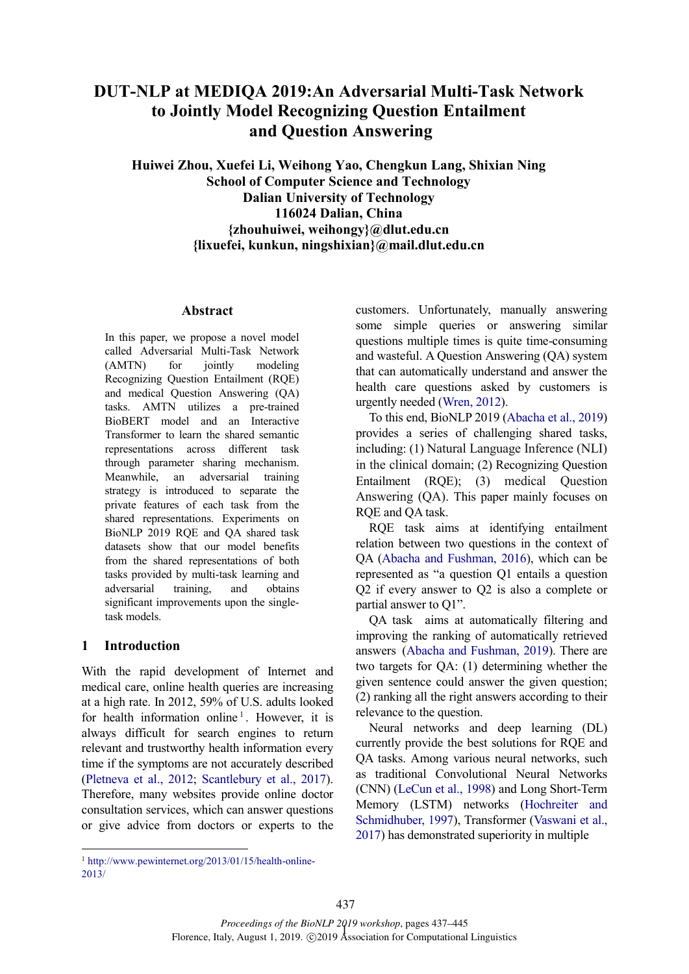# **DUT-NLP at MEDIQA 2019:An Adversarial Multi-Task Network to Jointly Model Recognizing Question Entailment and Question Answering**

**Huiwei Zhou, Xuefei Li, Weihong Yao, Chengkun Lang, Shixian Ning School of Computer Science and Technology Dalian University of Technology 116024 Dalian, China {zhouhuiwei, weihongy}@dlut.edu.cn {lixuefei, kunkun, ningshixian}@mail.dlut.edu.cn**

#### **Abstract**

In this paper, we propose a novel model called Adversarial Multi-Task Network (AMTN) for jointly modeling Recognizing Question Entailment (RQE) and medical Question Answering (QA) tasks. AMTN utilizes a pre-trained BioBERT model and an Interactive Transformer to learn the shared semantic representations across different task through parameter sharing mechanism. Meanwhile, an adversarial training strategy is introduced to separate the private features of each task from the shared representations. Experiments on BioNLP 2019 RQE and QA shared task datasets show that our model benefits from the shared representations of both tasks provided by multi-task learning and adversarial training, and obtains significant improvements upon the singletask models.

# **1 Introduction**

 $\overline{a}$ 

With the rapid development of Internet and medical care, online health queries are increasing at a high rate. In 2012, 59% of U.S. adults looked for health information online<sup>1</sup>. However, it is always difficult for search engines to return relevant and trustworthy health information every time if the symptoms are not accurately described (Pletneva et al., 2012; Scantlebury et al., 2017). Therefore, many websites provide online doctor consultation services, which can answer questions or give advice from doctors or experts to the customers. Unfortunately, manually answering some simple queries or answering similar questions multiple times is quite time-consuming and wasteful. A Question Answering (QA) system that can automatically understand and answer the health care questions asked by customers is urgently needed (Wren, 2012).

To this end, BioNLP 2019 (Abacha et al., 2019) provides a series of challenging shared tasks, including: (1) Natural Language Inference (NLI) in the clinical domain; (2) Recognizing Question Entailment (RQE); (3) medical Question Answering (QA). This paper mainly focuses on RQE and QA task.

RQE task aims at identifying entailment relation between two questions in the context of QA (Abacha and Fushman, 2016), which can be represented as "a question Q1 entails a question Q2 if every answer to Q2 is also a complete or partial answer to Q1".

QA task aims at automatically filtering and improving the ranking of automatically retrieved answers (Abacha and Fushman, 2019). There are two targets for QA: (1) determining whether the given sentence could answer the given question; (2) ranking all the right answers according to their relevance to the question.

Neural networks and deep learning (DL) currently provide the best solutions for RQE and QA tasks. Among various neural networks, such as traditional Convolutional Neural Networks (CNN) (LeCun et al., 1998) and Long Short-Term Memory (LSTM) networks (Hochreiter and Schmidhuber, 1997), Transformer (Vaswani et al., 2017) has demonstrated superiority in multiple

<sup>1</sup> http://www.pewinternet.org/2013/01/15/health-online-2013/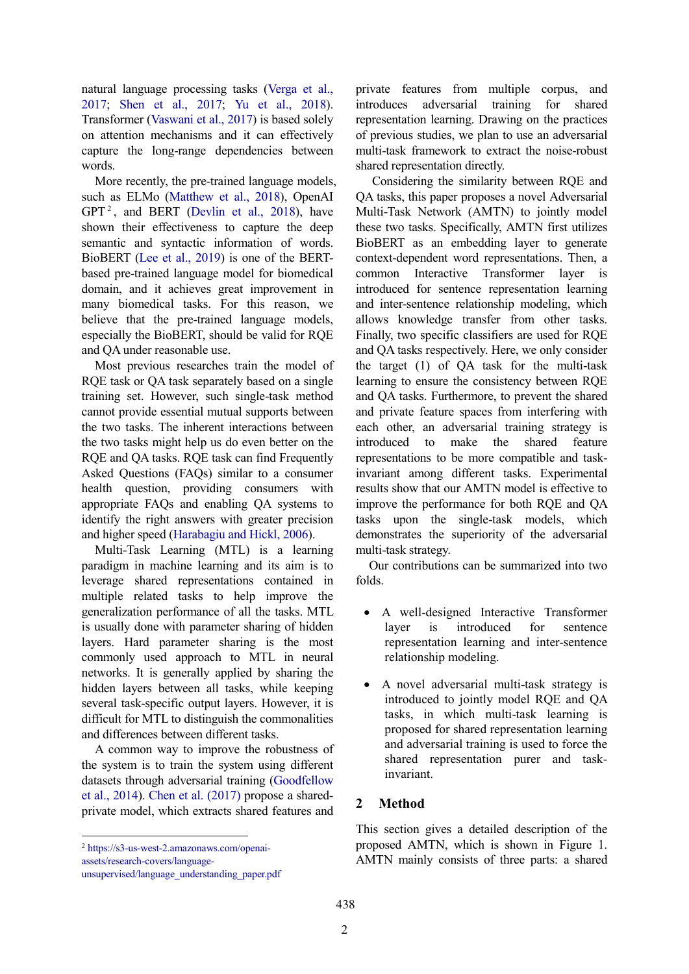natural language processing tasks (Verga et al., 2017; Shen et al., 2017; Yu et al., 2018). Transformer (Vaswani et al., 2017) is based solely on attention mechanisms and it can effectively capture the long-range dependencies between words.

More recently, the pre-trained language models, such as ELMo (Matthew et al., 2018), OpenAI  $GPT<sup>2</sup>$ , and BERT (Devlin et al., 2018), have shown their effectiveness to capture the deep semantic and syntactic information of words. BioBERT (Lee et al., 2019) is one of the BERTbased pre-trained language model for biomedical domain, and it achieves great improvement in many biomedical tasks. For this reason, we believe that the pre-trained language models, especially the BioBERT, should be valid for RQE and QA under reasonable use.

Most previous researches train the model of RQE task or QA task separately based on a single training set. However, such single-task method cannot provide essential mutual supports between the two tasks. The inherent interactions between the two tasks might help us do even better on the RQE and QA tasks. RQE task can find Frequently Asked Questions (FAQs) similar to a consumer health question, providing consumers with appropriate FAQs and enabling QA systems to identify the right answers with greater precision and higher speed (Harabagiu and Hickl, 2006).

Multi-Task Learning (MTL) is a learning paradigm in machine learning and its aim is to leverage shared representations contained in multiple related tasks to help improve the generalization performance of all the tasks. MTL is usually done with parameter sharing of hidden layers. Hard parameter sharing is the most commonly used approach to MTL in neural networks. It is generally applied by sharing the hidden layers between all tasks, while keeping several task-specific output layers. However, it is difficult for MTL to distinguish the commonalities and differences between different tasks.

A common way to improve the robustness of the system is to train the system using different datasets through adversarial training (Goodfellow et al., 2014). Chen et al. (2017) propose a sharedprivate model, which extracts shared features and

**.** 

private features from multiple corpus, and introduces adversarial training for shared representation learning. Drawing on the practices of previous studies, we plan to use an adversarial multi-task framework to extract the noise-robust shared representation directly.

Considering the similarity between RQE and QA tasks, this paper proposes a novel Adversarial Multi-Task Network (AMTN) to jointly model these two tasks. Specifically, AMTN first utilizes BioBERT as an embedding layer to generate context-dependent word representations. Then, a common Interactive Transformer layer is introduced for sentence representation learning and inter-sentence relationship modeling, which allows knowledge transfer from other tasks. Finally, two specific classifiers are used for RQE and QA tasks respectively. Here, we only consider the target (1) of QA task for the multi-task learning to ensure the consistency between RQE and QA tasks. Furthermore, to prevent the shared and private feature spaces from interfering with each other, an adversarial training strategy is introduced to make the shared feature representations to be more compatible and taskinvariant among different tasks. Experimental results show that our AMTN model is effective to improve the performance for both RQE and QA tasks upon the single-task models, which demonstrates the superiority of the adversarial multi-task strategy.

Our contributions can be summarized into two folds.

- A well-designed Interactive Transformer layer is introduced for sentence representation learning and inter-sentence relationship modeling.
- A novel adversarial multi-task strategy is introduced to jointly model RQE and QA tasks, in which multi-task learning is proposed for shared representation learning and adversarial training is used to force the shared representation purer and taskinvariant.

### **2 Method**

This section gives a detailed description of the proposed AMTN, which is shown in Figure 1. AMTN mainly consists of three parts: a shared

<sup>2</sup> https://s3-us-west-2.amazonaws.com/openai-

assets/research-covers/language-

unsupervised/language\_understanding\_paper.pdf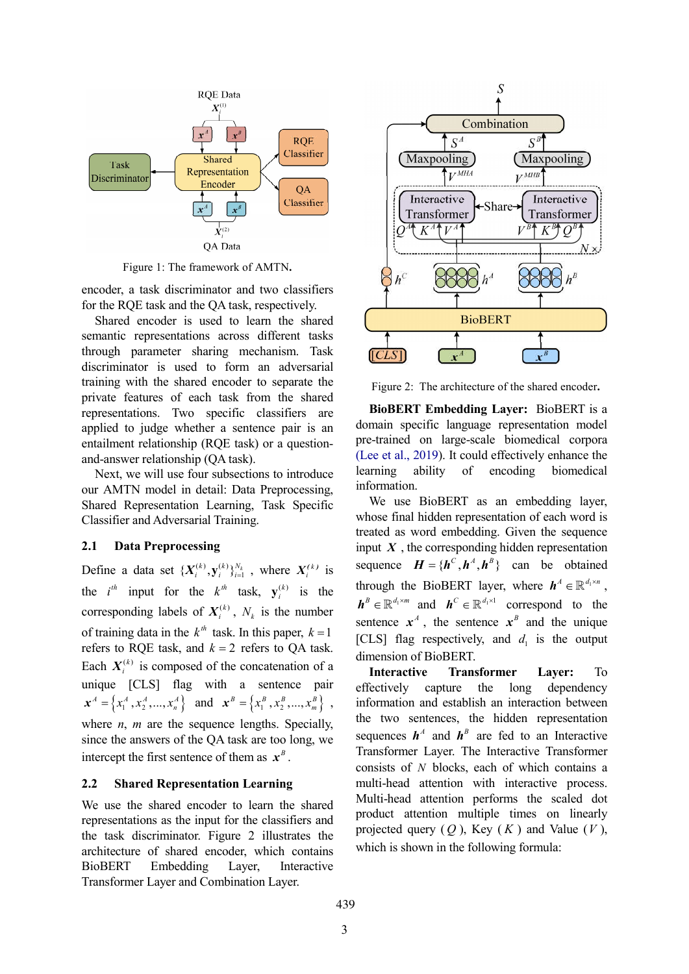

Figure 1: The framework of AMTN**.**

encoder, a task discriminator and two classifiers for the RQE task and the QA task, respectively.

Shared encoder is used to learn the shared semantic representations across different tasks through parameter sharing mechanism. Task discriminator is used to form an adversarial training with the shared encoder to separate the private features of each task from the shared representations. Two specific classifiers are applied to judge whether a sentence pair is an entailment relationship (RQE task) or a questionand-answer relationship (QA task).

Next, we will use four subsections to introduce our AMTN model in detail: Data Preprocessing, Shared Representation Learning, Task Specific Classifier and Adversarial Training.

#### **2.1 Data Preprocessing**

Define a data set  $\{X_i^{(k)}, y_i^{(k)}\}_{i=1}^{N_k}$ , where  $X_i^{(k)}$  is the  $i^{th}$  input for the  $k^{th}$  task,  $y_i^{(k)}$  is the corresponding labels of  $X_i^{(k)}$ ,  $N_k$  is the number of training data in the  $k^{th}$  task. In this paper,  $k = 1$ refers to RQE task, and  $k = 2$  refers to QA task. Each  $X_i^{(k)}$  is composed of the concatenation of a unique [CLS] flag with a sentence pair  $\mathbf{x}^A = \left\{ x_1^A, x_2^A, ..., x_n^A \right\}$  and  $\mathbf{x}^B = \left\{ x_1^B, x_2^B, ..., x_m^B \right\}$ , where *n*, *m* are the sequence lengths. Specially, since the answers of the QA task are too long, we intercept the first sentence of them as  $x^B$ .

#### **2.2 Shared Representation Learning**

We use the shared encoder to learn the shared representations as the input for the classifiers and the task discriminator. Figure 2 illustrates the architecture of shared encoder, which contains BioBERT Embedding Layer, Interactive Transformer Layer and Combination Layer.



Figure 2: The architecture of the shared encoder**.**

**BioBERT Embedding Layer:** BioBERT is a domain specific language representation model pre-trained on large-scale biomedical corpora (Lee et al., 2019). It could effectively enhance the learning ability of encoding biomedical information.

We use BioBERT as an embedding layer, whose final hidden representation of each word is treated as word embedding. Given the sequence input  $X$ , the corresponding hidden representation sequence  $H = \{h^C, h^A, h^B\}$  can be obtained through the BioBERT layer, where  $h^A \in \mathbb{R}^{d_1 \times n}$ ,  $h^B \in \mathbb{R}^{d_1 \times m}$  and  $h^C \in \mathbb{R}^{d_1 \times 1}$  correspond to the sentence  $x^A$ , the sentence  $x^B$  and the unique [CLS] flag respectively, and  $d_i$  is the output dimension of BioBERT.

**Interactive Transformer Layer:** To effectively capture the long dependency information and establish an interaction between the two sentences, the hidden representation sequences  $h^A$  and  $h^B$  are fed to an Interactive Transformer Layer. The Interactive Transformer consists of *N* blocks, each of which contains a multi-head attention with interactive process. Multi-head attention performs the scaled dot product attention multiple times on linearly projected query  $(Q)$ , Key  $(K)$  and Value  $(V)$ , which is shown in the following formula: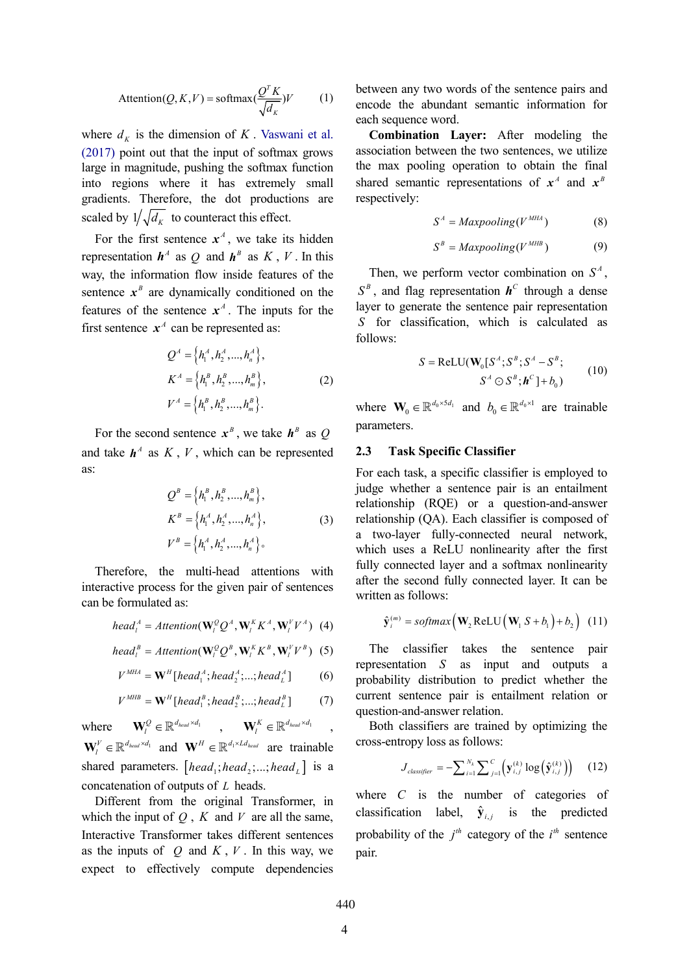$$
Attention(Q, K, V) = softmax(\frac{Q^{T} K}{\sqrt{d_K}})V
$$
 (1)

where  $d_k$  is the dimension of K. Vaswani et al. (2017) point out that the input of softmax grows large in magnitude, pushing the softmax function into regions where it has extremely small gradients. Therefore, the dot productions are scaled by  $1/\sqrt{d_k}$  to counteract this effect.

For the first sentence  $x^4$ , we take its hidden representation  $h^A$  as *Q* and  $h^B$  as *K*, *V*. In this way, the information flow inside features of the sentence  $x^B$  are dynamically conditioned on the features of the sentence  $x^A$ . The inputs for the first sentence  $x^A$  can be represented as:

$$
Q^{A} = \left\{ h_{1}^{A}, h_{2}^{A}, ..., h_{n}^{A} \right\},
$$
  
\n
$$
K^{A} = \left\{ h_{1}^{B}, h_{2}^{B}, ..., h_{m}^{B} \right\},
$$
  
\n
$$
V^{A} = \left\{ h_{1}^{B}, h_{2}^{B}, ..., h_{m}^{B} \right\}.
$$
  
\n(2)

For the second sentence  $x^B$ , we take  $h^B$  as *Q* and take  $h^A$  as  $K, V$ , which can be represented as:

$$
Q^{B} = \left\{ h_{1}^{B}, h_{2}^{B}, ..., h_{m}^{B} \right\},
$$
  
\n
$$
K^{B} = \left\{ h_{1}^{A}, h_{2}^{A}, ..., h_{n}^{A} \right\},
$$
  
\n
$$
V^{B} = \left\{ h_{1}^{A}, h_{2}^{A}, ..., h_{n}^{A} \right\}.
$$
  
\n(3)

Therefore, the multi-head attentions with interactive process for the given pair of sentences can be formulated as:

$$
head_l^A =Attention(\mathbf{W}_l^Q Q^A, \mathbf{W}_l^K K^A, \mathbf{W}_l^V V^A)
$$
 (4)

$$
head_l^B =Attention(\mathbf{W}_l^Q Q^B, \mathbf{W}_l^K K^B, \mathbf{W}_l^V V^B)
$$
 (5)

$$
V^{MHA} = \mathbf{W}^{H}[\text{head}_{1}^{A}; \text{head}_{2}^{A}; \dots; \text{head}_{L}^{A}] \qquad (6)
$$

$$
V^{MHB} = \mathbf{W}^{H}[\text{head}_{1}^{B}; \text{head}_{2}^{B}; \ldots; \text{head}_{L}^{B}] \qquad (7)
$$

where  $\mathbf{W}_l^Q \in \mathbb{R}^{d_{head} \times d_1}$ ,  $\mathbf{W}_l^K \in \mathbb{R}^{d_{head} \times d_1}$ ,  $\mathbf{W}_{l}^{V} \in \mathbb{R}^{d_{head} \times d_1}$  and  $\mathbf{W}^{H} \in \mathbb{R}^{d_1 \times Ld_{head}}$  are trainable shared parameters.  $[head_i; head_i; ...; head_i]$  is a concatenation of outputs of *L* heads.

Different from the original Transformer, in which the input of  $Q$ ,  $K$  and  $V$  are all the same, Interactive Transformer takes different sentences as the inputs of  $Q$  and  $K, V$ . In this way, we expect to effectively compute dependencies

between any two words of the sentence pairs and encode the abundant semantic information for each sequence word.

**Combination Layer:** After modeling the association between the two sentences, we utilize the max pooling operation to obtain the final shared semantic representations of  $x^A$  and  $x^B$ respectively:

$$
S^A = \text{Maxpooling}(V^{\text{MHA}})
$$
 (8)

$$
S^B = \text{Maxpooling}(V^{MHB}) \tag{9}
$$

Then, we perform vector combination on  $S<sup>A</sup>$ ,  $S^B$ , and flag representation  $h^C$  through a dense layer to generate the sentence pair representation *S* for classification, which is calculated as follows:

$$
S = \text{ReLU}(\mathbf{W}_0[S^A; S^B; S^A - S^B; S^A \odot S^B; \mathbf{h}^C] + b_0)
$$
 (10)

where  $\mathbf{W}_0 \in \mathbb{R}^{d_0 \times 5d_1}$  and  $b_0 \in \mathbb{R}^{d_0 \times 1}$  are trainable parameters.

### **2.3 Task Specific Classifier**

For each task, a specific classifier is employed to judge whether a sentence pair is an entailment relationship (RQE) or a question-and-answer relationship (QA). Each classifier is composed of a two-layer fully-connected neural network, which uses a ReLU nonlinearity after the first fully connected layer and a softmax nonlinearity after the second fully connected layer. It can be written as follows:

$$
\hat{\mathbf{y}}_i^{(m)} = softmax(\mathbf{W}_2 \text{ReLU}(\mathbf{W}_1 S + b_1) + b_2) \quad (11)
$$

The classifier takes the sentence pair representation *S* as input and outputs a probability distribution to predict whether the current sentence pair is entailment relation or question-and-answer relation.

Both classifiers are trained by optimizing the cross-entropy loss as follows:

$$
J_{\text{classifier}} = -\sum_{i=1}^{N_k} \sum_{j=1}^{C} \left( \mathbf{y}_{i,j}^{(k)} \log \left( \hat{\mathbf{y}}_{i,j}^{(k)} \right) \right) \quad (12)
$$

where *C* is the number of categories of classification label,  $\hat{\mathbf{y}}_{i,j}$  is the predicted probability of the  $j<sup>th</sup>$  category of the  $i<sup>th</sup>$  sentence pair.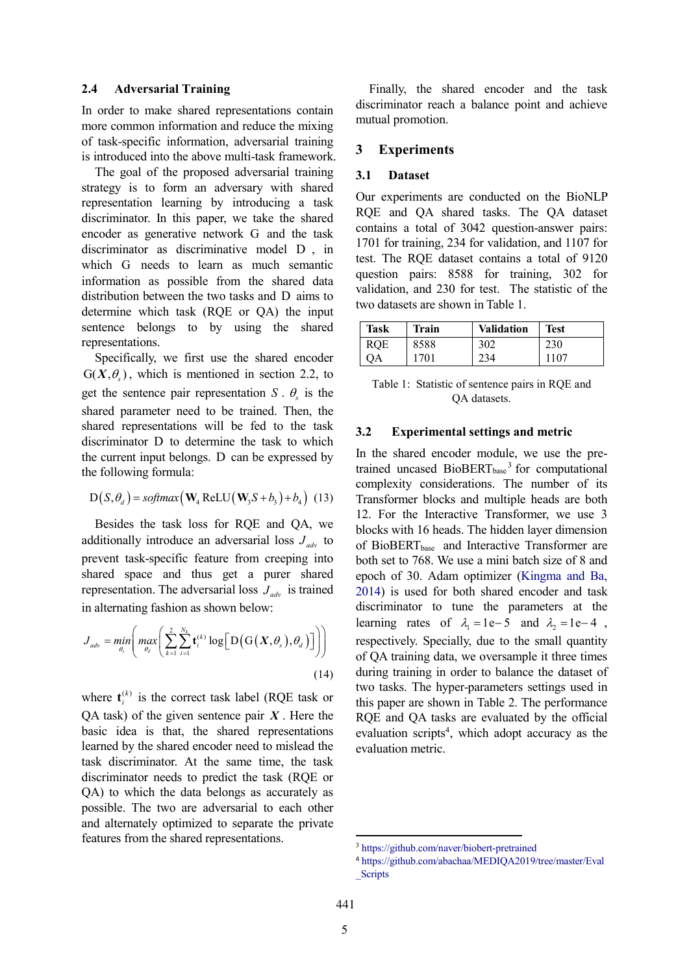#### **2.4 Adversarial Training**

In order to make shared representations contain more common information and reduce the mixing of task-specific information, adversarial training is introduced into the above multi-task framework.

The goal of the proposed adversarial training strategy is to form an adversary with shared representation learning by introducing a task discriminator. In this paper, we take the shared encoder as generative network G and the task discriminator as discriminative model D , in which G needs to learn as much semantic information as possible from the shared data distribution between the two tasks and D aims to determine which task (RQE or QA) the input sentence belongs to by using the shared representations.

Specifically, we first use the shared encoder  $G(X, \theta)$ , which is mentioned in section 2.2, to get the sentence pair representation *S* .  $\theta_s$  is the shared parameter need to be trained. Then, the shared representations will be fed to the task discriminator D to determine the task to which the current input belongs. D can be expressed by the following formula:

$$
D(S, \theta_d) = softmax(\mathbf{W}_4 \text{ReLU}(\mathbf{W}_3 S + b_3) + b_4)
$$
 (13)

Besides the task loss for RQE and QA, we additionally introduce an adversarial loss  $J_{adv}$  to prevent task-specific feature from creeping into shared space and thus get a purer shared representation. The adversarial loss  $J_{adv}$  is trained in alternating fashion as shown below:

$$
J_{adv} = \min_{\theta_s} \left( \max_{\theta_d} \left( \sum_{k=1}^2 \sum_{i=1}^{N_k} \mathbf{t}_i^{(k)} \log \Big[ D\big(\mathbf{G}\big(X, \theta_s\big), \theta_d\big)\Big] \right) \right) \tag{14}
$$

where  $\mathbf{t}_{i}^{(k)}$  is the correct task label (RQE task or QA task) of the given sentence pair *X* . Here the basic idea is that, the shared representations learned by the shared encoder need to mislead the task discriminator. At the same time, the task discriminator needs to predict the task (RQE or QA) to which the data belongs as accurately as possible. The two are adversarial to each other and alternately optimized to separate the private features from the shared representations.

Finally, the shared encoder and the task discriminator reach a balance point and achieve mutual promotion.

### **3 Experiments**

#### **3.1 Dataset**

Our experiments are conducted on the BioNLP RQE and QA shared tasks. The QA dataset contains a total of 3042 question-answer pairs: 1701 for training, 234 for validation, and 1107 for test. The RQE dataset contains a total of 9120 question pairs: 8588 for training, 302 for validation, and 230 for test. The statistic of the two datasets are shown in Table 1.

| <b>Task</b> | <b>Train</b> | <b>Validation</b> | <b>Test</b> |
|-------------|--------------|-------------------|-------------|
| <b>RQE</b>  | 8588         | 302               | 230         |
| эA          | 1701         | 234               | 1107        |

Table 1: Statistic of sentence pairs in RQE and QA datasets.

#### **3.2 Experimental settings and metric**

In the shared encoder module, we use the pretrained uncased BioBERT<sub>base</sub><sup>3</sup> for computational complexity considerations. The number of its Transformer blocks and multiple heads are both 12. For the Interactive Transformer, we use 3 blocks with 16 heads. The hidden layer dimension of BioBERT<sub>base</sub> and Interactive Transformer are both set to 768. We use a mini batch size of 8 and epoch of 30. Adam optimizer (Kingma and Ba, 2014) is used for both shared encoder and task discriminator to tune the parameters at the learning rates of  $\lambda_1 = 1e-5$  and  $\lambda_2 = 1e-4$ , respectively. Specially, due to the small quantity of QA training data, we oversample it three times during training in order to balance the dataset of two tasks. The hyper-parameters settings used in this paper are shown in Table 2. The performance RQE and QA tasks are evaluated by the official evaluation scripts<sup>4</sup>, which adopt accuracy as the evaluation metric.

 $\overline{a}$ 

<sup>3</sup> https://github.com/naver/biobert-pretrained

<sup>4</sup> https://github.com/abachaa/MEDIQA2019/tree/master/Eval **Scripts**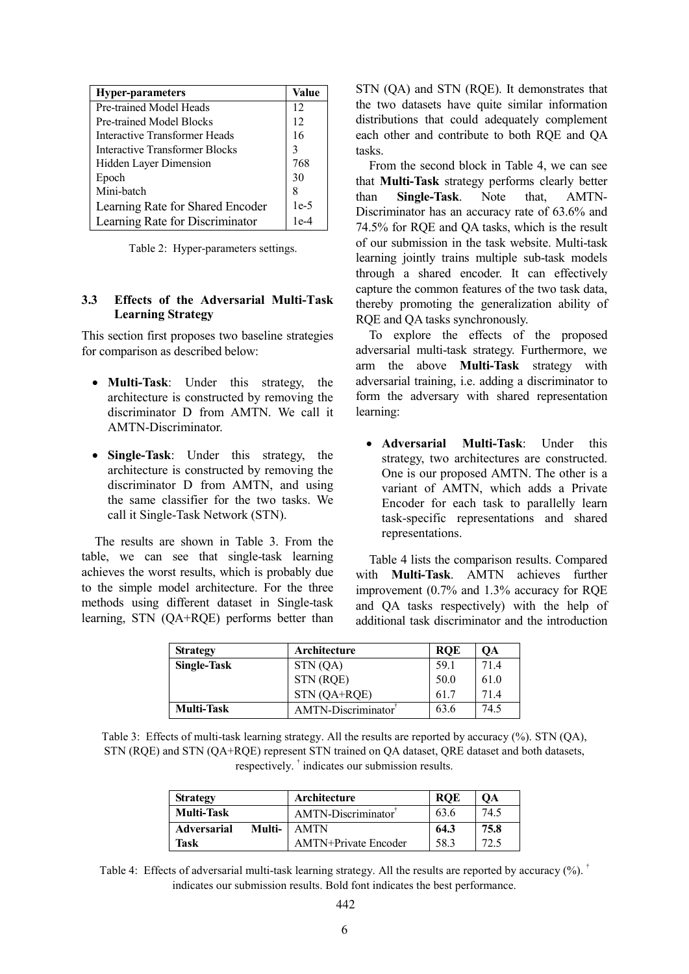| <b>Hyper-parameters</b>          | Value  |
|----------------------------------|--------|
| Pre-trained Model Heads          | 12     |
| Pre-trained Model Blocks         | 12     |
| Interactive Transformer Heads    | 16     |
| Interactive Transformer Blocks   | 3      |
| Hidden Layer Dimension           | 768    |
| Epoch                            | 30     |
| Mini-batch                       | 8      |
| Learning Rate for Shared Encoder | $1e-5$ |
| Learning Rate for Discriminator  | $1e-4$ |

Table 2: Hyper-parameters settings.

### **3.3 Effects of the Adversarial Multi-Task Learning Strategy**

This section first proposes two baseline strategies for comparison as described below:

- **Multi-Task**: Under this strategy, the architecture is constructed by removing the discriminator D from AMTN. We call it AMTN-Discriminator.
- **Single-Task**: Under this strategy, the architecture is constructed by removing the discriminator D from AMTN, and using the same classifier for the two tasks. We call it Single-Task Network (STN).

The results are shown in Table 3. From the table, we can see that single-task learning achieves the worst results, which is probably due to the simple model architecture. For the three methods using different dataset in Single-task learning, STN (QA+RQE) performs better than

STN (QA) and STN (RQE). It demonstrates that the two datasets have quite similar information distributions that could adequately complement each other and contribute to both RQE and QA tasks.

From the second block in Table 4, we can see that **Multi-Task** strategy performs clearly better than **Single-Task**. Note that, AMTN-Discriminator has an accuracy rate of 63.6% and 74.5% for RQE and QA tasks, which is the result of our submission in the task website. Multi-task learning jointly trains multiple sub-task models through a shared encoder. It can effectively capture the common features of the two task data, thereby promoting the generalization ability of RQE and QA tasks synchronously.

To explore the effects of the proposed adversarial multi-task strategy. Furthermore, we arm the above **Multi-Task** strategy with adversarial training, i.e. adding a discriminator to form the adversary with shared representation learning:

 **Adversarial Multi-Task**: Under this strategy, two architectures are constructed. One is our proposed AMTN. The other is a variant of AMTN, which adds a Private Encoder for each task to parallelly learn task-specific representations and shared representations.

Table 4 lists the comparison results. Compared with **Multi-Task**. AMTN achieves further improvement (0.7% and 1.3% accuracy for RQE and QA tasks respectively) with the help of additional task discriminator and the introduction

| <b>Strategy</b>    | Architecture       | <b>ROE</b> | OА   |
|--------------------|--------------------|------------|------|
| <b>Single-Task</b> | STN(QA)            | 59.1       | 714  |
|                    | STN (RQE)          | 50.0       | 61.0 |
|                    | $STN(QA+RQE)$      | 617        | 714  |
| <b>Multi-Task</b>  | AMTN-Discriminator | 63.6       | 74.5 |

Table 3: Effects of multi-task learning strategy. All the results are reported by accuracy (%). STN (QA), STN (RQE) and STN (QA+RQE) represent STN trained on QA dataset, QRE dataset and both datasets, respectively. † indicates our submission results.

| <b>Strategy</b>    |        | Architecture                    | <b>ROE</b> | <b>OA</b> |
|--------------------|--------|---------------------------------|------------|-----------|
| <b>Multi-Task</b>  |        | AMTN-Discriminator <sup>1</sup> | 63.6       | 74.5      |
| <b>Adversarial</b> | Multi- | AMTN                            | 64.3       | 75.8      |
| Task               |        | <b>AMTN+Private Encoder</b>     | 58 3       | 72.5      |

Table 4: Effects of adversarial multi-task learning strategy. All the results are reported by accuracy  $(\%)$ .<sup>†</sup> indicates our submission results. Bold font indicates the best performance.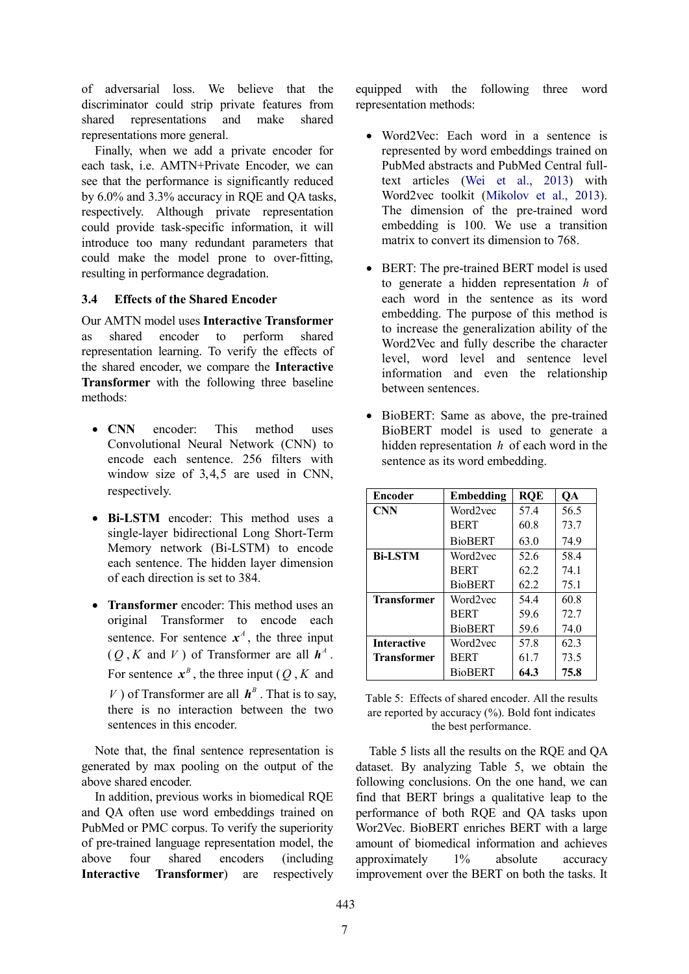of adversarial loss. We believe that the discriminator could strip private features from shared representations and make shared representations more general.

Finally, when we add a private encoder for each task, i.e. AMTN+Private Encoder, we can see that the performance is significantly reduced by 6.0% and 3.3% accuracy in RQE and QA tasks, respectively. Although private representation could provide task-specific information, it will introduce too many redundant parameters that could make the model prone to over-fitting, resulting in performance degradation.

### **3.4 Effects of the Shared Encoder**

Our AMTN model uses **Interactive Transformer** as shared encoder to perform shared representation learning. To verify the effects of the shared encoder, we compare the **Interactive Transformer** with the following three baseline methods:

- **CNN** encoder: This method uses Convolutional Neural Network (CNN) to encode each sentence. 256 filters with window size of 3,4,5 are used in CNN, respectively.
- **Bi-LSTM** encoder: This method uses a single-layer bidirectional Long Short-Term Memory network (Bi-LSTM) to encode each sentence. The hidden layer dimension of each direction is set to 384.
- **Transformer** encoder: This method uses an original Transformer to encode each sentence. For sentence  $x^4$ , the three input  $(O, K \text{ and } V)$  of Transformer are all  $h^A$ . For sentence  $x^B$ , the three input (*Q*, *K* and *V*) of Transformer are all  $h^B$ . That is to say, there is no interaction between the two sentences in this encoder.

Note that, the final sentence representation is generated by max pooling on the output of the above shared encoder.

In addition, previous works in biomedical RQE and QA often use word embeddings trained on PubMed or PMC corpus. To verify the superiority of pre-trained language representation model, the above four shared encoders (including **Interactive Transformer**) are respectively equipped with the following three word representation methods:

- Word2Vec: Each word in a sentence is represented by word embeddings trained on PubMed abstracts and PubMed Central fulltext articles (Wei et al., 2013) with Word2vec toolkit (Mikolov et al., 2013). The dimension of the pre-trained word embedding is 100. We use a transition matrix to convert its dimension to 768.
- BERT: The pre-trained BERT model is used to generate a hidden representation *h* of each word in the sentence as its word embedding. The purpose of this method is to increase the generalization ability of the Word2Vec and fully describe the character level, word level and sentence level information and even the relationship between sentences.
- BioBERT: Same as above, the pre-trained BioBERT model is used to generate a hidden representation *h* of each word in the sentence as its word embedding.

| Encoder            | Embedding      | <b>ROE</b> | QA   |
|--------------------|----------------|------------|------|
| <b>CNN</b>         | Word2vec       | 57.4       | 56.5 |
|                    | <b>BERT</b>    | 60.8       | 73.7 |
|                    | <b>BioBERT</b> | 63.0       | 74.9 |
| <b>Bi-LSTM</b>     | Word2vec       | 52.6       | 58.4 |
|                    | <b>BERT</b>    | 62.2       | 74.1 |
|                    | <b>BioBERT</b> | 62.2       | 75.1 |
| <b>Transformer</b> | Word2vec       | 544        | 60.8 |
|                    | <b>BERT</b>    | 59.6       | 72.7 |
|                    | <b>BioBERT</b> | 59.6       | 74.0 |
| <b>Interactive</b> | Word2vec       | 57.8       | 62.3 |
| <b>Transformer</b> | <b>BERT</b>    | 61.7       | 73.5 |
|                    | <b>BioBERT</b> | 64.3       | 75.8 |

| Table 5: Effects of shared encoder. All the results   |
|-------------------------------------------------------|
| are reported by accuracy $(\%)$ . Bold font indicates |
| the best performance.                                 |

Table 5 lists all the results on the RQE and QA dataset. By analyzing Table 5, we obtain the following conclusions. On the one hand, we can find that BERT brings a qualitative leap to the performance of both RQE and QA tasks upon Wor2Vec. BioBERT enriches BERT with a large amount of biomedical information and achieves approximately 1% absolute accuracy improvement over the BERT on both the tasks. It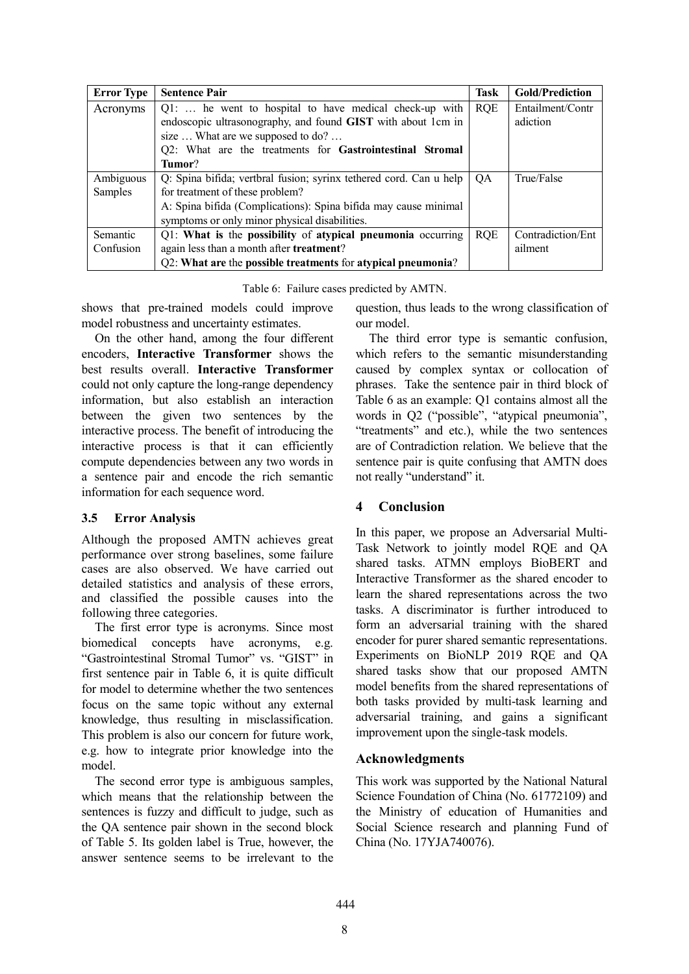| <b>Error Type</b> | <b>Sentence Pair</b>                                               | Task       | <b>Gold/Prediction</b> |
|-------------------|--------------------------------------------------------------------|------------|------------------------|
| Acronyms          | Q1:  he went to hospital to have medical check-up with             | <b>RQE</b> | Entailment/Contr       |
|                   | endoscopic ultrasonography, and found GIST with about 1cm in       |            | adiction               |
|                   | size  What are we supposed to do?                                  |            |                        |
|                   | Q2: What are the treatments for Gastrointestinal Stromal           |            |                        |
|                   | Tumor?                                                             |            |                        |
| Ambiguous         | Q: Spina bifida; vertbral fusion; syrinx tethered cord. Can u help | OA.        | True/False             |
| Samples           | for treatment of these problem?                                    |            |                        |
|                   | A: Spina bifida (Complications): Spina bifida may cause minimal    |            |                        |
|                   | symptoms or only minor physical disabilities.                      |            |                        |
| Semantic          | Q1: What is the possibility of atypical pneumonia occurring        | <b>ROE</b> | Contradiction/Ent      |
| Confusion         | again less than a month after treatment?                           |            | ailment                |
|                   | Q2: What are the possible treatments for atypical pneumonia?       |            |                        |

Table 6: Failure cases predicted by AMTN.

shows that pre-trained models could improve model robustness and uncertainty estimates.

On the other hand, among the four different encoders, **Interactive Transformer** shows the best results overall. **Interactive Transformer** could not only capture the long-range dependency information, but also establish an interaction between the given two sentences by the interactive process. The benefit of introducing the interactive process is that it can efficiently compute dependencies between any two words in a sentence pair and encode the rich semantic information for each sequence word.

# **3.5 Error Analysis**

Although the proposed AMTN achieves great performance over strong baselines, some failure cases are also observed. We have carried out detailed statistics and analysis of these errors, and classified the possible causes into the following three categories.

The first error type is acronyms. Since most biomedical concepts have acronyms, e.g. "Gastrointestinal Stromal Tumor" vs. "GIST" in first sentence pair in Table 6, it is quite difficult for model to determine whether the two sentences focus on the same topic without any external knowledge, thus resulting in misclassification. This problem is also our concern for future work, e.g. how to integrate prior knowledge into the model.

The second error type is ambiguous samples, which means that the relationship between the sentences is fuzzy and difficult to judge, such as the QA sentence pair shown in the second block of Table 5. Its golden label is True, however, the answer sentence seems to be irrelevant to the question, thus leads to the wrong classification of our model.

The third error type is semantic confusion, which refers to the semantic misunderstanding caused by complex syntax or collocation of phrases. Take the sentence pair in third block of Table 6 as an example: Q1 contains almost all the words in Q2 ("possible", "atypical pneumonia", "treatments" and etc.), while the two sentences are of Contradiction relation. We believe that the sentence pair is quite confusing that AMTN does not really "understand" it.

# **4 Conclusion**

In this paper, we propose an Adversarial Multi-Task Network to jointly model RQE and QA shared tasks. ATMN employs BioBERT and Interactive Transformer as the shared encoder to learn the shared representations across the two tasks. A discriminator is further introduced to form an adversarial training with the shared encoder for purer shared semantic representations. Experiments on BioNLP 2019 RQE and QA shared tasks show that our proposed AMTN model benefits from the shared representations of both tasks provided by multi-task learning and adversarial training, and gains a significant improvement upon the single-task models.

# **Acknowledgments**

This work was supported by the National Natural Science Foundation of China (No. 61772109) and the Ministry of education of Humanities and Social Science research and planning Fund of China (No. 17YJA740076).